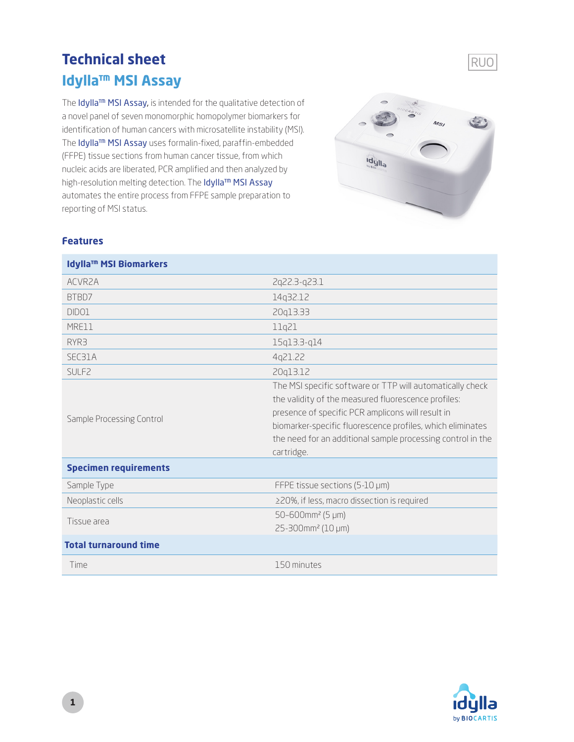# **Technical sheet Idylla™ MSI Assay**

The Idylla™ MSI Assay, is intended for the qualitative detection of a novel panel of seven monomorphic homopolymer biomarkers for identification of human cancers with microsatellite instability (MSI). The Idylla™ MSI Assay uses formalin-fixed, paraffin-embedded (FFPE) tissue sections from human cancer tissue, from which nucleic acids are liberated, PCR amplified and then analyzed by high-resolution melting detection. The Idylla<sup>™</sup> MSI Assay automates the entire process from FFPE sample preparation to reporting of MSI status.



### **Features**

| <b>Idylla<sup>™</sup> MSI Biomarkers</b> |                                                                                                                                                                                                                                                                                                                  |
|------------------------------------------|------------------------------------------------------------------------------------------------------------------------------------------------------------------------------------------------------------------------------------------------------------------------------------------------------------------|
| ACVR <sub>2</sub> A                      | 2q22.3-q23.1                                                                                                                                                                                                                                                                                                     |
| BTBD7                                    | 14q32.12                                                                                                                                                                                                                                                                                                         |
| DID <sub>01</sub>                        | 20q13.33                                                                                                                                                                                                                                                                                                         |
| MRE11                                    | 11q21                                                                                                                                                                                                                                                                                                            |
| RYR3                                     | 15q13.3-q14                                                                                                                                                                                                                                                                                                      |
| SEC31A                                   | 4q21.22                                                                                                                                                                                                                                                                                                          |
| SULF <sub>2</sub>                        | 20q13.12                                                                                                                                                                                                                                                                                                         |
| Sample Processing Control                | The MSI specific software or TTP will automatically check<br>the validity of the measured fluorescence profiles:<br>presence of specific PCR amplicons will result in<br>biomarker-specific fluorescence profiles, which eliminates<br>the need for an additional sample processing control in the<br>cartridge. |
| <b>Specimen requirements</b>             |                                                                                                                                                                                                                                                                                                                  |
| Sample Type                              | FFPE tissue sections (5-10 µm)                                                                                                                                                                                                                                                                                   |
| Neoplastic cells                         | ≥20%, if less, macro dissection is required                                                                                                                                                                                                                                                                      |
| Tissue area                              | $50 - 600$ mm <sup>2</sup> (5 µm)<br>25-300mm <sup>2</sup> (10 µm)                                                                                                                                                                                                                                               |
| <b>Total turnaround time</b>             |                                                                                                                                                                                                                                                                                                                  |
| Time                                     | 150 minutes                                                                                                                                                                                                                                                                                                      |



RUO